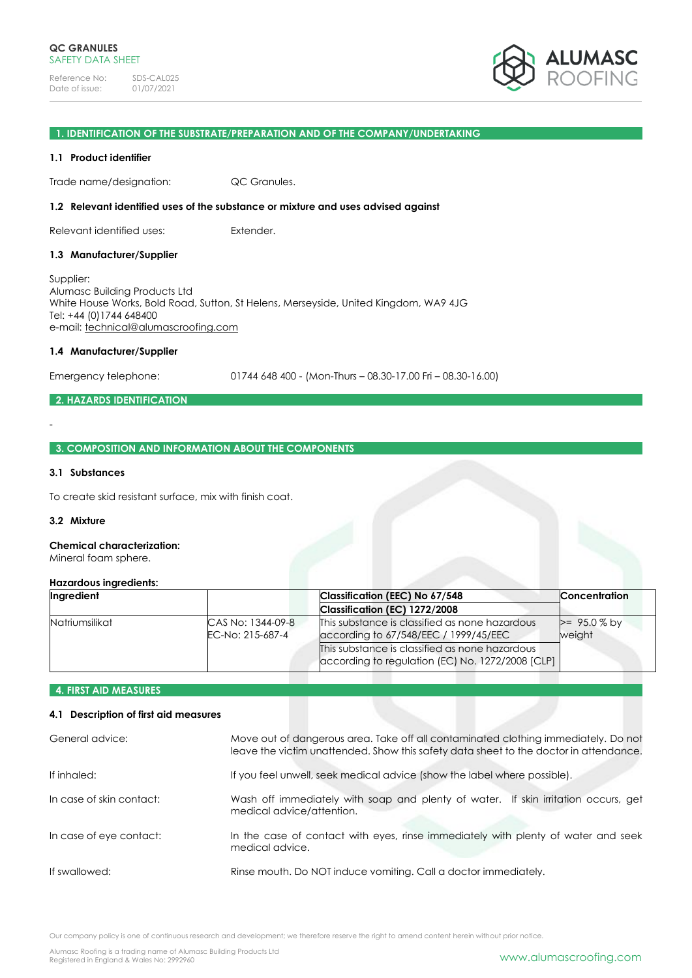

# **1. IDENTIFICATION OF THE SUBSTRATE/PREPARATION AND OF THE COMPANY/UNDERTAKING**

#### **1.1 Product identifier**

Trade name/designation: QC Granules.

#### **1.2 Relevant identified uses of the substance or mixture and uses advised against**

Relevant identified uses: Extender.

# **1.3 Manufacturer/Supplier**

Supplier: Alumasc Building Products Ltd White House Works, Bold Road, Sutton, St Helens, Merseyside, United Kingdom, WA9 4JG Tel: +44 (0)1744 648400 e-mail: [technical@alumascroofing.com](mailto:technical@alumascroofing.com)

#### **1.4 Manufacturer/Supplier**

Emergency telephone: 01744 648 400 - (Mon-Thurs – 08.30-17.00 Fri – 08.30-16.00)

# **2. HAZARDS IDENTIFICATION**

# **3. COMPOSITION AND INFORMATION ABOUT THE COMPONENTS**

# **3.1 Substances**

-

To create skid resistant surface, mix with finish coat.

#### **3.2 Mixture**

# **Chemical characterization:**

Mineral foam sphere.

#### **Hazardous ingredients:**

| Ingredient            |                                       | Classification (EEC) No 67/548                                                                     | <b>Concentration</b>     |  |
|-----------------------|---------------------------------------|----------------------------------------------------------------------------------------------------|--------------------------|--|
|                       |                                       | Classification (EC) 1272/2008                                                                      |                          |  |
| <b>Natriumsilikat</b> | CAS No: 1344-09-8<br>EC-No: 215-687-4 | This substance is classified as none hazardous<br>according to 67/548/EEC / 1999/45/EEC            | $>= 95.0 %$ by<br>weight |  |
|                       |                                       | This substance is classified as none hazardous<br>according to regulation (EC) No. 1272/2008 [CLP] |                          |  |

# **4. FIRST AID MEASURES**

# **4.1 Description of first aid measures**

| General advice:          | Move out of dangerous area. Take off all contaminated clothing immediately. Do not<br>leave the victim unattended. Show this safety data sheet to the doctor in attendance. |  |
|--------------------------|-----------------------------------------------------------------------------------------------------------------------------------------------------------------------------|--|
| If inhaled:              | If you feel unwell, seek medical advice (show the label where possible).                                                                                                    |  |
| In case of skin contact: | Wash off immediately with soap and plenty of water. If skin irritation occurs, get<br>medical advice/attention.                                                             |  |
| In case of eye contact:  | In the case of contact with eyes, rinse immediately with plenty of water and seek<br>medical advice.                                                                        |  |
| If swallowed:            | Rinse mouth. Do NOT induce vomiting. Call a doctor immediately.                                                                                                             |  |

Our company policy is one of continuous research and development; we therefore reserve the right to amend content herein without prior notice.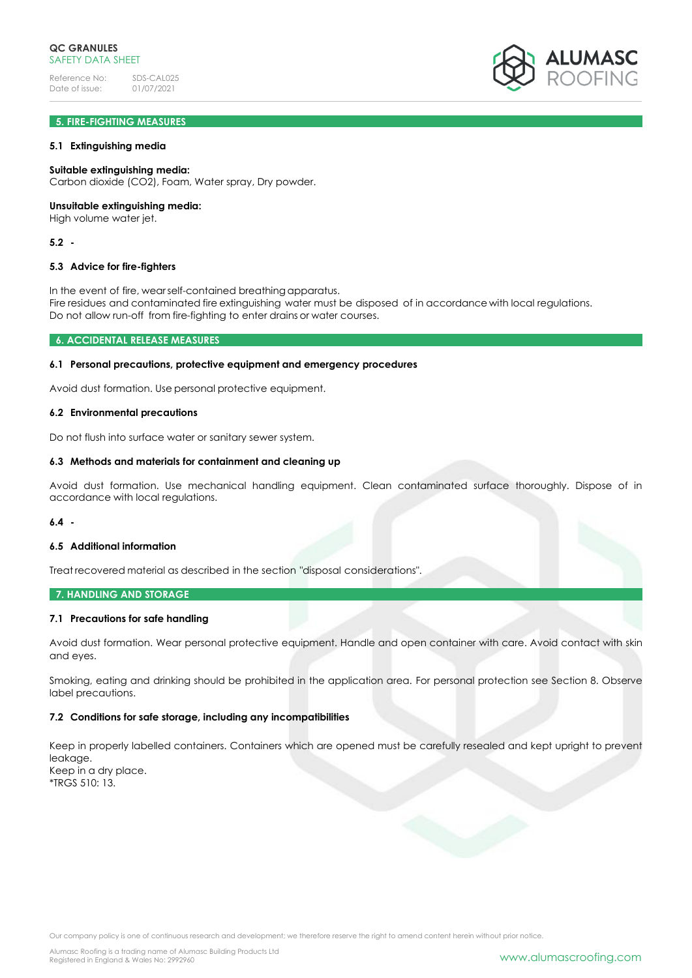# **5. FIRE-FIGHTING MEASURES**

# **5.1 Extinguishing media**

#### **Suitable extinguishing media:**

Carbon dioxide (CO2), Foam, Water spray, Dry powder.

#### **Unsuitable extinguishing media:**

High volume water jet.

# **5.2 -**

#### **5.3 Advice for fire-fighters**

In the event of fire, wearself-contained breathing apparatus. Fire residues and contaminated fire extinguishing water must be disposed of in accordance with local regulations. Do not allow run-off from fire-fighting to enter drains or water courses.

# **6. ACCIDENTAL RELEASE MEASURES**

# **6.1 Personal precautions, protective equipment and emergency procedures**

Avoid dust formation. Use personal protective equipment.

# **6.2 Environmental precautions**

Do not flush into surface water or sanitary sewer system.

#### **6.3 Methods and materials for containment and cleaning up**

Avoid dust formation. Use mechanical handling equipment. Clean contaminated surface thoroughly. Dispose of in accordance with local regulations.

# **6.4 -**

# **6.5 Additional information**

Treat recovered material as described in the section "disposal considerations".

#### **7. HANDLING AND STORAGE**

# **7.1 Precautions for safe handling**

Avoid dust formation. Wear personal protective equipment. Handle and open container with care. Avoid contact with skin and eyes.

Smoking, eating and drinking should be prohibited in the application area. For personal protection see Section 8. Observe label precautions.

# **7.2 Conditions for safe storage, including any incompatibilities**

Keep in properly labelled containers. Containers which are opened must be carefully resealed and kept upright to prevent leakage. Keep in a dry place. \*TRGS 510: 13.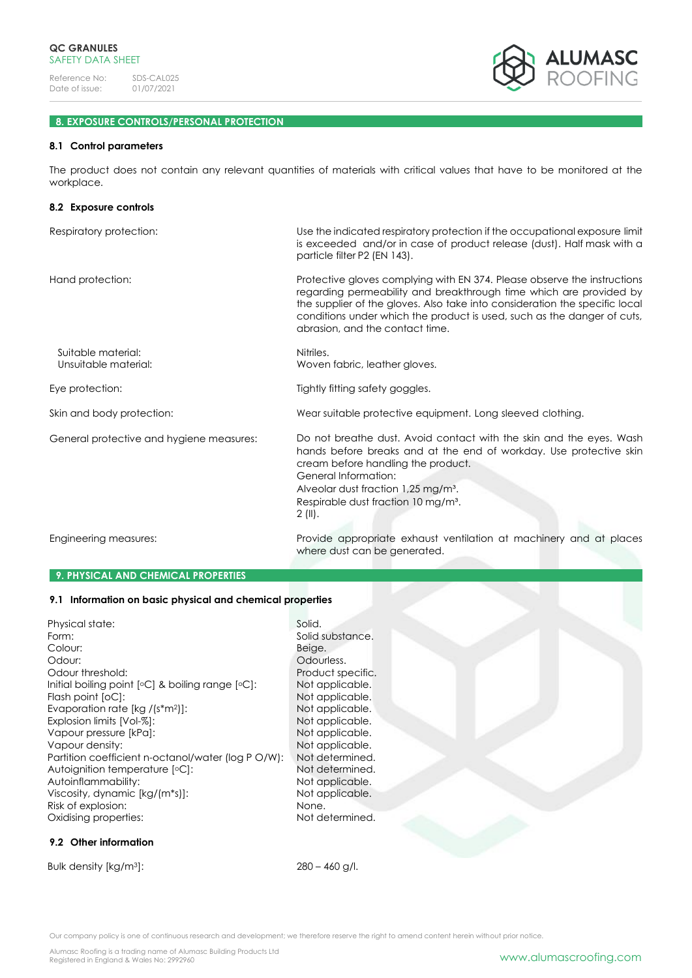

# **8. EXPOSURE CONTROLS/PERSONAL PROTECTION**

# **8.1 Control parameters**

The product does not contain any relevant quantities of materials with critical values that have to be monitored at the workplace.

| 8.2 Exposure controls                      |                                                                                                                                                                                                                                                                                                                                             |  |  |
|--------------------------------------------|---------------------------------------------------------------------------------------------------------------------------------------------------------------------------------------------------------------------------------------------------------------------------------------------------------------------------------------------|--|--|
| Respiratory protection:                    | Use the indicated respiratory protection if the occupational exposure limit<br>is exceeded and/or in case of product release (dust). Half mask with a<br>particle filter P2 (EN 143).                                                                                                                                                       |  |  |
| Hand protection:                           | Protective gloves complying with EN 374. Please observe the instructions<br>regarding permeability and breakthrough time which are provided by<br>the supplier of the gloves. Also take into consideration the specific local<br>conditions under which the product is used, such as the danger of cuts,<br>abrasion, and the contact time. |  |  |
| Suitable material:<br>Unsuitable material: | Nitriles.<br>Woven fabric, leather gloves.                                                                                                                                                                                                                                                                                                  |  |  |
| Eye protection:                            | Tightly fitting safety goggles.                                                                                                                                                                                                                                                                                                             |  |  |
| Skin and body protection:                  | Wear suitable protective equipment. Long sleeved clothing.                                                                                                                                                                                                                                                                                  |  |  |
| General protective and hygiene measures:   | Do not breathe dust. Avoid contact with the skin and the eyes. Wash<br>hands before breaks and at the end of workday. Use protective skin<br>cream before handling the product.<br>General Information:<br>Alveolar dust fraction 1,25 mg/m <sup>3</sup> .<br>Respirable dust fraction 10 mg/m <sup>3</sup> .<br>$2(11)$ .                  |  |  |
| Engineering measures:                      | Provide appropriate exhaust ventilation at machinery and at places<br>where dust can be generated.                                                                                                                                                                                                                                          |  |  |

# **9. PHYSICAL AND CHEMICAL PROPERTIES**

# **9.1 Information on basic physical and chemical properties**

| Physical state:                                       | Solid.  |
|-------------------------------------------------------|---------|
| Form:                                                 | Solid s |
| Colour:                                               | Beige.  |
| Odour:                                                | Odou    |
| Odour threshold:                                      | Produ   |
| Initial boiling point $[°C]$ & boiling range $[°C]$ : | Not ap  |
| Flash point [oC]:                                     | Not ap  |
| Evaporation rate $[kg / (s*m2)]$ :                    | Not ap  |
| Explosion limits [Vol-%]:                             | Not ap  |
| Vapour pressure [kPa]:                                | Not ap  |
| Vapour density:                                       | Not ap  |
| Partition coefficient n-octanol/water (log P O/W):    | Not de  |
| Autoignition temperature [°C]:                        | Not de  |
| Autoinflammability:                                   | Not ap  |
| Viscosity, dynamic [kg/(m*s)]:                        | Not ap  |
| Risk of explosion:                                    | None.   |
| Oxidising properties:                                 | Not de  |

# **9.2 Other information**

Bulk density  $[kg/m^3]$ : 280 – 460 g/l.

Not determined.

Solid substance.

Not applicable. Not applicable. Not applicable. Not applicable. Not applicable. Not applicable. Not determined. Not determined. Not applicable. Not applicable.<br>None.

Beige. Odourless. Product specific.

Our company policy is one of continuous research and development; we therefore reserve the right to amend content herein without prior notice.

Alumasc Roofing is a trading name of Alumasc Building Products Ltd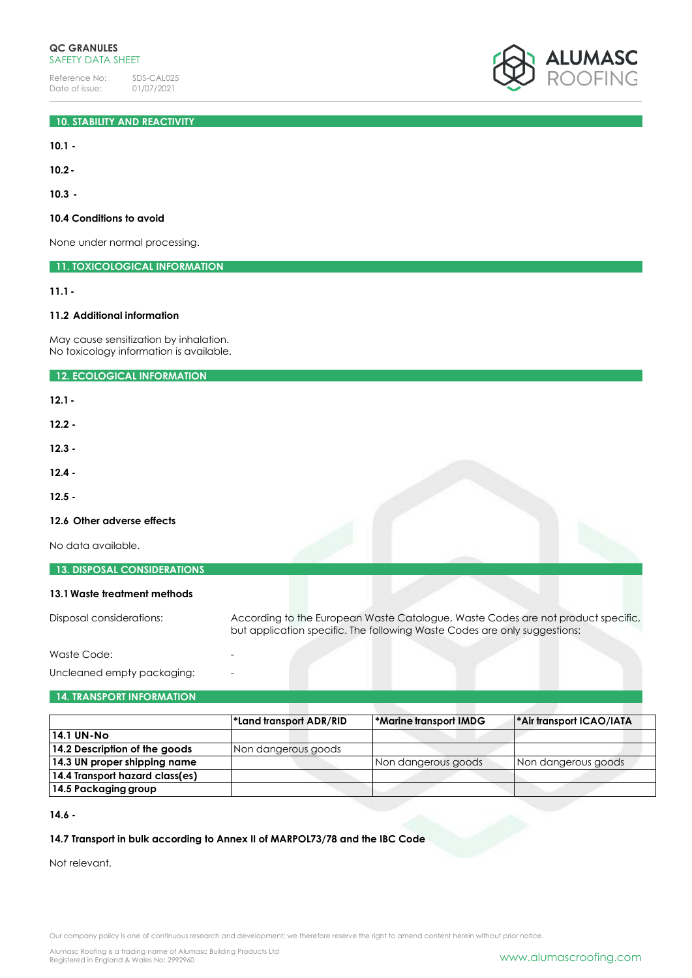

**10.1 -**

**10.2-**

**10.3 -**

# **10.4 Conditions to avoid**

None under normal processing.

**11. TOXICOLOGICAL INFORMATION**

**11.1-**

# **11.2 Additional information**

May cause sensitization by inhalation. No toxicology information is available.

**12. ECOLOGICAL INFORMATION**

**12.1-**

**12.2 -**

**12.3 -**

**12.4 -**

**12.5 -**

# **12.6 Other adverse effects**

No data available.

| <b>13. DISPOSAL CONSIDERATIONS</b> |                                                                                                                                                               |
|------------------------------------|---------------------------------------------------------------------------------------------------------------------------------------------------------------|
| 13.1 Waste treatment methods       |                                                                                                                                                               |
| Disposal considerations:           | According to the European Waste Catalogue, Waste Codes are not product specific,<br>but application specific. The following Waste Codes are only suggestions: |

Waste Code:

Uncleaned empty packaging:

# **14. TRANSPORT INFORMATION**

|                                 | *Land transport ADR/RID | *Marine transport IMDG | <sup>*</sup> Air transport ICAO/IATA |
|---------------------------------|-------------------------|------------------------|--------------------------------------|
| 14.1 UN-No                      |                         |                        |                                      |
| 14.2 Description of the goods   | Non dangerous goods     |                        |                                      |
| 14.3 UN proper shipping name    |                         | Non dangerous goods    | Non dangerous goods                  |
| 14.4 Transport hazard class(es) |                         |                        |                                      |
| 14.5 Packaging group            |                         |                        |                                      |

**14.6 -**

# **14.7 Transport in bulk according to Annex II of MARPOL73/78 and the IBC Code**

Not relevant.

Our company policy is one of continuous research and development; we therefore reserve the right to amend content herein without prior notice.